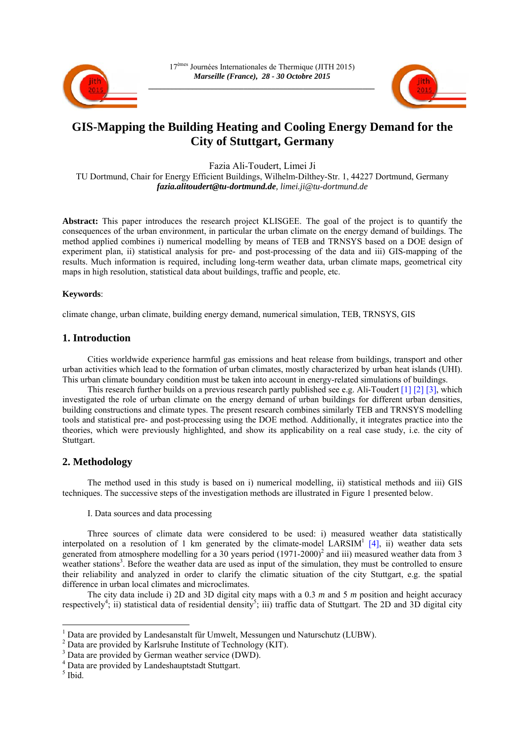



# **GIS-Mapping the Building Heating and Cooling Energy Demand for the City of Stuttgart, Germany**

Fazia Ali-Toudert, Limei Ji

TU Dortmund, Chair for Energy Efficient Buildings, Wilhelm-Dilthey-Str. 1, 44227 Dortmund, Germany *fazia.alitoudert@tu-dortmund.de, limei.ji@tu-dortmund.de* 

**Abstract:** This paper introduces the research project KLISGEE. The goal of the project is to quantify the consequences of the urban environment, in particular the urban climate on the energy demand of buildings. The method applied combines i) numerical modelling by means of TEB and TRNSYS based on a DOE design of experiment plan, ii) statistical analysis for pre- and post-processing of the data and iii) GIS-mapping of the results. Much information is required, including long-term weather data, urban climate maps, geometrical city maps in high resolution, statistical data about buildings, traffic and people, etc.

## **Keywords**:

climate change, urban climate, building energy demand, numerical simulation, TEB, TRNSYS, GIS

## **1. Introduction**

Cities worldwide experience harmful gas emissions and heat release from buildings, transport and other urban activities which lead to the formation of urban climates, mostly characterized by urban heat islands (UHI). This urban climate boundary condition must be taken into account in energy-related simulations of buildings.

This research further builds on a previous research partly published see e.g. Ali-Toudert [1] [2] [3], which investigated the role of urban climate on the energy demand of urban buildings for different urban densities, building constructions and climate types. The present research combines similarly TEB and TRNSYS modelling tools and statistical pre- and post-processing using the DOE method. Additionally, it integrates practice into the theories, which were previously highlighted, and show its applicability on a real case study, i.e. the city of Stuttgart.

# **2. Methodology**

The method used in this study is based on i) numerical modelling, ii) statistical methods and iii) GIS techniques. The successive steps of the investigation methods are illustrated in Figure 1 presented below.

I. Data sources and data processing

Three sources of climate data were considered to be used: i) measured weather data statistically interpolated on a resolution of 1 km generated by the climate-model  $LARSIM<sup>1</sup> [4]$ , ii) weather data sets generated from atmosphere modelling for a 30 years period (1971-2000)<sup>2</sup> and iii) measured weather data from 3 weather stations<sup>3</sup>. Before the weather data are used as input of the simulation, they must be controlled to ensure their reliability and analyzed in order to clarify the climatic situation of the city Stuttgart, e.g. the spatial difference in urban local climates and microclimates.

The city data include i) 2D and 3D digital city maps with a 0.3 *m* and 5 *m* position and height accuracy respectively<sup>4</sup>; ii) statistical data of residential density<sup>5</sup>; iii) traffic data of Stuttgart. The 2D and 3D digital city

1

<sup>&</sup>lt;sup>1</sup> Data are provided by Landesanstalt für Umwelt, Messungen und Naturschutz (LUBW).

<sup>&</sup>lt;sup>2</sup> Data are provided by Karlsruhe Institute of Technology (KIT).

<sup>&</sup>lt;sup>3</sup> Data are provided by German weather service (DWD).

<sup>4</sup> Data are provided by Landeshauptstadt Stuttgart.

<sup>5</sup> Ibid.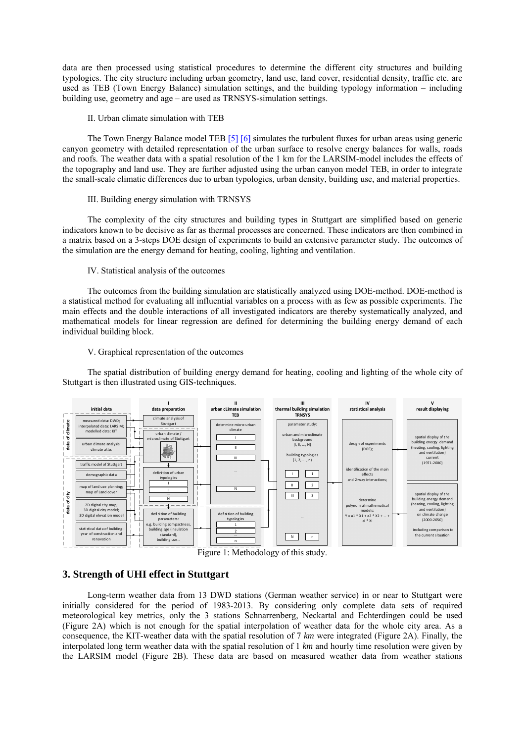data are then processed using statistical procedures to determine the different city structures and building typologies. The city structure including urban geometry, land use, land cover, residential density, traffic etc. are used as TEB (Town Energy Balance) simulation settings, and the building typology information – including building use, geometry and age – are used as TRNSYS-simulation settings.

#### II. Urban climate simulation with TEB

The Town Energy Balance model TEB [5] [6] simulates the turbulent fluxes for urban areas using generic canyon geometry with detailed representation of the urban surface to resolve energy balances for walls, roads and roofs. The weather data with a spatial resolution of the 1 km for the LARSIM-model includes the effects of the topography and land use. They are further adjusted using the urban canyon model TEB, in order to integrate the small-scale climatic differences due to urban typologies, urban density, building use, and material properties.

#### III. Building energy simulation with TRNSYS

The complexity of the city structures and building types in Stuttgart are simplified based on generic indicators known to be decisive as far as thermal processes are concerned. These indicators are then combined in a matrix based on a 3-steps DOE design of experiments to build an extensive parameter study. The outcomes of the simulation are the energy demand for heating, cooling, lighting and ventilation.

#### IV. Statistical analysis of the outcomes

The outcomes from the building simulation are statistically analyzed using DOE-method. DOE-method is a statistical method for evaluating all influential variables on a process with as few as possible experiments. The main effects and the double interactions of all investigated indicators are thereby systematically analyzed, and mathematical models for linear regression are defined for determining the building energy demand of each individual building block.

### V. Graphical representation of the outcomes

The spatial distribution of building energy demand for heating, cooling and lighting of the whole city of Stuttgart is then illustrated using GIS-techniques.



Figure 1: Methodology of this study.

## **3. Strength of UHI effect in Stuttgart**

Long-term weather data from 13 DWD stations (German weather service) in or near to Stuttgart were initially considered for the period of 1983-2013. By considering only complete data sets of required meteorological key metrics, only the 3 stations Schnarrenberg, Neckartal and Echterdingen could be used (Figure 2A) which is not enough for the spatial interpolation of weather data for the whole city area. As a consequence, the KIT-weather data with the spatial resolution of 7 *km* were integrated (Figure 2A). Finally, the interpolated long term weather data with the spatial resolution of 1 *km* and hourly time resolution were given by the LARSIM model (Figure 2B). These data are based on measured weather data from weather stations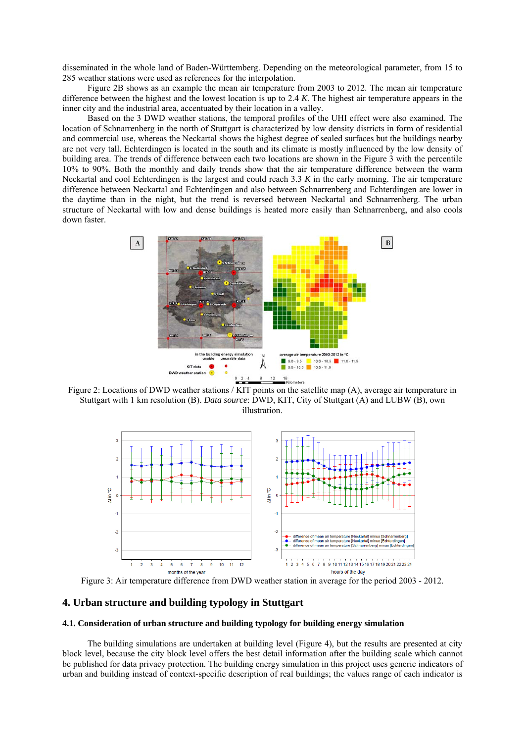disseminated in the whole land of Baden-Württemberg. Depending on the meteorological parameter, from 15 to 285 weather stations were used as references for the interpolation.

Figure 2B shows as an example the mean air temperature from 2003 to 2012. The mean air temperature difference between the highest and the lowest location is up to 2.4 *K*. The highest air temperature appears in the inner city and the industrial area, accentuated by their location in a valley.

Based on the 3 DWD weather stations, the temporal profiles of the UHI effect were also examined. The location of Schnarrenberg in the north of Stuttgart is characterized by low density districts in form of residential and commercial use, whereas the Neckartal shows the highest degree of sealed surfaces but the buildings nearby are not very tall. Echterdingen is located in the south and its climate is mostly influenced by the low density of building area. The trends of difference between each two locations are shown in the Figure 3 with the percentile 10% to 90%. Both the monthly and daily trends show that the air temperature difference between the warm Neckartal and cool Echterdingen is the largest and could reach 3.3 *K* in the early morning. The air temperature difference between Neckartal and Echterdingen and also between Schnarrenberg and Echterdingen are lower in the daytime than in the night, but the trend is reversed between Neckartal and Schnarrenberg. The urban structure of Neckartal with low and dense buildings is heated more easily than Schnarrenberg, and also cools down faster.



Figure 2: Locations of DWD weather stations / KIT points on the satellite map (A), average air temperature in Stuttgart with 1 km resolution (B). *Data source*: DWD, KIT, City of Stuttgart (A) and LUBW (B), own illustration.



Figure 3: Air temperature difference from DWD weather station in average for the period 2003 - 2012.

## **4. Urban structure and building typology in Stuttgart**

#### **4.1. Consideration of urban structure and building typology for building energy simulation**

The building simulations are undertaken at building level (Figure 4), but the results are presented at city block level, because the city block level offers the best detail information after the building scale which cannot be published for data privacy protection. The building energy simulation in this project uses generic indicators of urban and building instead of context-specific description of real buildings; the values range of each indicator is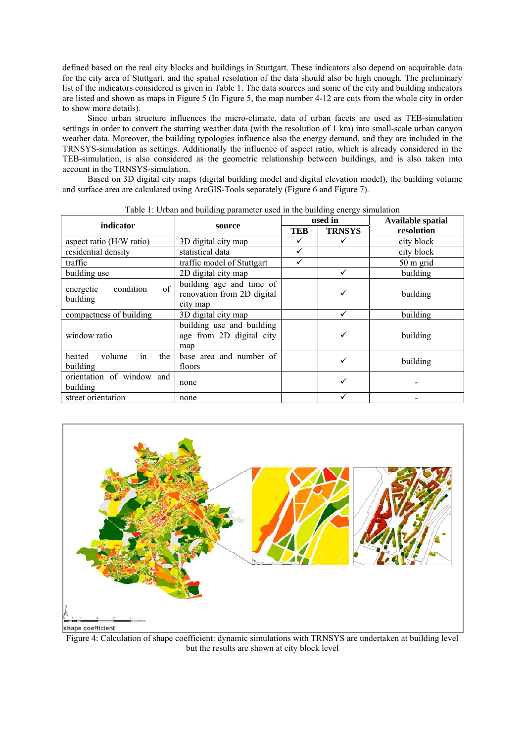defined based on the real city blocks and buildings in Stuttgart. These indicators also depend on acquirable data for the city area of Stuttgart, and the spatial resolution of the data should also be high enough. The preliminary list of the indicators considered is given in Table 1. The data sources and some of the city and building indicators are listed and shown as maps in Figure 5 (In Figure 5, the map number 4-12 are cuts from the whole city in order to show more details).

Since urban structure influences the micro-climate, data of urban facets are used as TEB-simulation settings in order to convert the starting weather data (with the resolution of 1 km) into small-scale urban canyon weather data. Moreover, the building typologies influence also the energy demand, and they are included in the TRNSYS-simulation as settings. Additionally the influence of aspect ratio, which is already considered in the TEB-simulation, is also considered as the geometric relationship between buildings, and is also taken into account in the TRNSYS-simulation.

Based on 3D digital city maps (digital building model and digital elevation model), the building volume and surface area are calculated using ArcGIS-Tools separately (Figure 6 and Figure 7).

| raoic r. Oroan and ounding parameter about in the ounding energy binamition |                                                                    |            |               |                          |  |  |  |  |  |
|-----------------------------------------------------------------------------|--------------------------------------------------------------------|------------|---------------|--------------------------|--|--|--|--|--|
| indicator                                                                   | source                                                             |            | used in       | <b>Available spatial</b> |  |  |  |  |  |
|                                                                             |                                                                    | <b>TEB</b> | <b>TRNSYS</b> | resolution               |  |  |  |  |  |
| aspect ratio (H/W ratio)                                                    | 3D digital city map                                                |            | city block    |                          |  |  |  |  |  |
| residential density                                                         | statistical data                                                   | ✓          |               | city block               |  |  |  |  |  |
| traffic                                                                     | traffic model of Stuttgart                                         | ✓          |               | 50 m grid                |  |  |  |  |  |
| building use                                                                | 2D digital city map                                                |            | ✓             | building                 |  |  |  |  |  |
| of<br>condition<br>energetic<br>building                                    | building age and time of<br>renovation from 2D digital<br>city map |            | ✓             | building                 |  |  |  |  |  |
| compactness of building                                                     | 3D digital city map                                                | building   |               |                          |  |  |  |  |  |
| window ratio                                                                | building use and building<br>age from 2D digital city<br>map       |            | ✓             | building                 |  |  |  |  |  |
| in<br>the<br>heated<br>volume<br>building                                   | base area and number of<br>floors                                  |            | $\checkmark$  | building                 |  |  |  |  |  |
| orientation of window and<br>building                                       | none                                                               |            | ✓             |                          |  |  |  |  |  |
| street orientation                                                          | none                                                               |            |               |                          |  |  |  |  |  |

Table 1: Urban and building parameter used in the building energy simulation



Figure 4: Calculation of shape coefficient: dynamic simulations with TRNSYS are undertaken at building level but the results are shown at city block level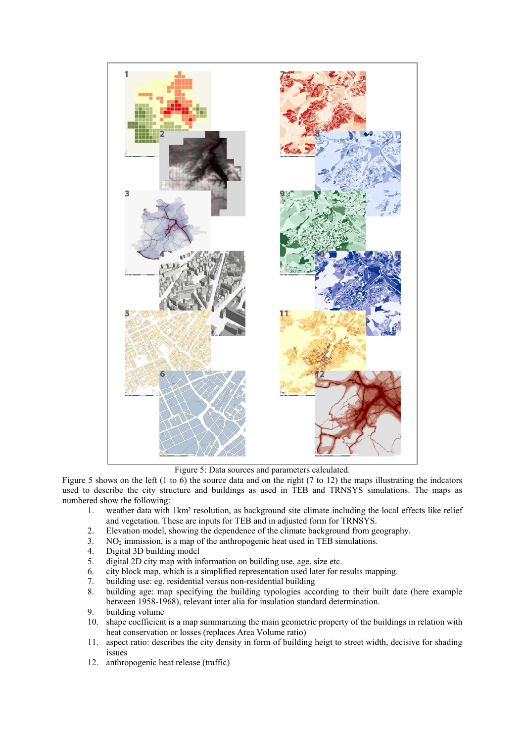

Figure 5: Data sources and parameters calculated.

Figure 5 shows on the left (1 to 6) the source data and on the right (7 to 12) the maps illustrating the indcators used to describe the city structure and buildings as used in TEB and TRNSYS simulations. The maps as numbered show the following:

- 1. weather data with 1km² resolution, as background site climate including the local effects like relief and vegetation. These are inputs for TEB and in adjusted form for TRNSYS.
- 2. Elevation model, showing the dependence of the climate background from geography.
- 3.  $NO<sub>2</sub>$  immission, is a map of the anthropogenic heat used in TEB simulations.<br>4 Digital 3D building model
- Digital 3D building model
- 5. digital 2D city map with information on building use, age, size etc.
- 6. city block map, which is a simplified representation used later for results mapping.
- 7. building use: eg. residential versus non-residential building
- 8. building age: map specifying the building typologies according to their built date (here example between 1958-1968), relevant inter alia for insulation standard determination.
- 9. building volume
- 10. shape coefficient is a map summarizing the main geometric property of the buildings in relation with heat conservation or losses (replaces Area Volume ratio)
- 11. aspect ratio: describes the city density in form of building heigt to street width, decisive for shading issues
- 12. anthropogenic heat release (traffic)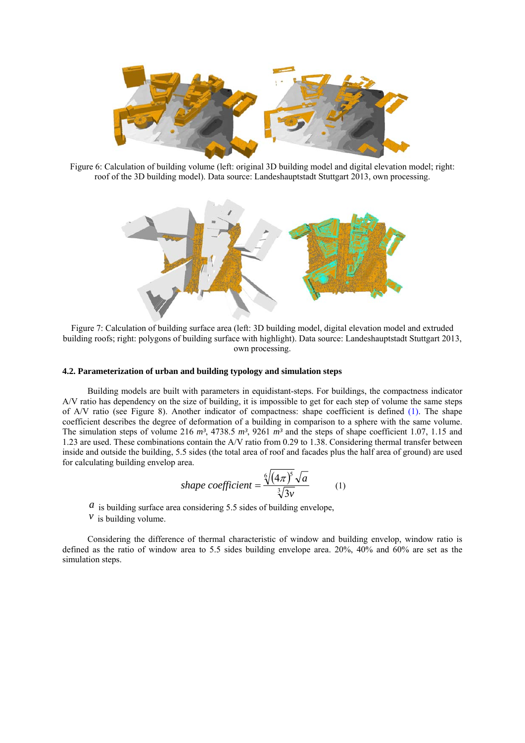

Figure 6: Calculation of building volume (left: original 3D building model and digital elevation model; right: roof of the 3D building model). Data source: Landeshauptstadt Stuttgart 2013, own processing.



Figure 7: Calculation of building surface area (left: 3D building model, digital elevation model and extruded building roofs; right: polygons of building surface with highlight). Data source: Landeshauptstadt Stuttgart 2013, own processing.

#### **4.2. Parameterization of urban and building typology and simulation steps**

Building models are built with parameters in equidistant-steps. For buildings, the compactness indicator A/V ratio has dependency on the size of building, it is impossible to get for each step of volume the same steps of A/V ratio (see Figure 8). Another indicator of compactness: shape coefficient is defined (1). The shape coefficient describes the degree of deformation of a building in comparison to a sphere with the same volume. The simulation steps of volume 216 *m³*, 4738.5 *m³*, 9261 *m³* and the steps of shape coefficient 1.07, 1.15 and 1.23 are used. These combinations contain the A/V ratio from 0.29 to 1.38. Considering thermal transfer between inside and outside the building, 5.5 sides (the total area of roof and facades plus the half area of ground) are used for calculating building envelop area.

shape coefficient = 
$$
\frac{\sqrt[6]{(4\pi)^5} \sqrt{a}}{\sqrt[3]{3v}}
$$
 (1)

 $\alpha$  is building surface area considering 5.5 sides of building envelope,

 $\mathcal V$  is building volume.

Considering the difference of thermal characteristic of window and building envelop, window ratio is defined as the ratio of window area to 5.5 sides building envelope area. 20%, 40% and 60% are set as the simulation steps.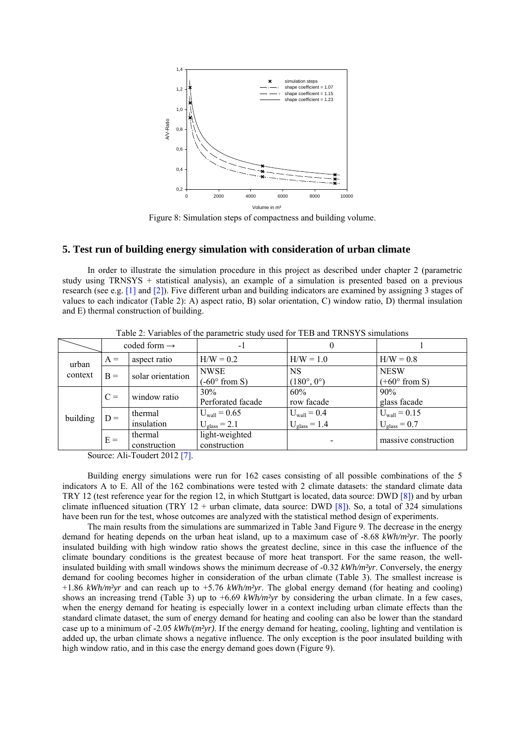

Figure 8: Simulation steps of compactness and building volume.

#### **5. Test run of building energy simulation with consideration of urban climate**

In order to illustrate the simulation procedure in this project as described under chapter 2 (parametric study using TRNSYS + statistical analysis), an example of a simulation is presented based on a previous research (see e.g. [1] and [2]). Five different urban and building indicators are examined by assigning 3 stages of values to each indicator (Table 2): A) aspect ratio, B) solar orientation, C) window ratio, D) thermal insulation and E) thermal construction of building.

| $1\,\mu$ , $\mu$ , while the parameter $\mu$ , and the $\mu$ in $1\,\mu$ , $\mu$ , $\mu$ , $\mu$ , $\mu$ , $\mu$ , $\mu$ , $\mu$ |       |                          |                                                   |                                              |                                               |  |  |  |  |  |
|----------------------------------------------------------------------------------------------------------------------------------|-------|--------------------------|---------------------------------------------------|----------------------------------------------|-----------------------------------------------|--|--|--|--|--|
|                                                                                                                                  |       | coded form $\rightarrow$ | -1                                                | 0                                            |                                               |  |  |  |  |  |
| urban<br>context                                                                                                                 | $A =$ | aspect ratio             | $H/W = 0.2$                                       | $H/W = 1.0$                                  | $H/W = 0.8$                                   |  |  |  |  |  |
|                                                                                                                                  | $B =$ | solar orientation        | <b>NWSE</b><br>$(-60^{\circ}$ from S)             | <b>NS</b><br>$(180^{\circ}, 0^{\circ})$      | <b>NESW</b><br>$(+60^{\circ}$ from S)         |  |  |  |  |  |
| building                                                                                                                         | $C =$ | window ratio             | 30%<br>Perforated facade                          | 60%<br>row facade                            | 90%<br>glass facade                           |  |  |  |  |  |
|                                                                                                                                  | $D =$ | thermal<br>insulation    | $U_{\text{wall}} = 0.65$<br>$U_{\rm glass} = 2.1$ | $U_{\text{wall}} = 0.4$<br>$U_{glass} = 1.4$ | $U_{\text{wall}} = 0.15$<br>$U_{glass} = 0.7$ |  |  |  |  |  |
|                                                                                                                                  | $E =$ | thermal<br>construction  | light-weighted<br>construction                    |                                              | massive construction                          |  |  |  |  |  |

Table 2: Variables of the parametric study used for TEB and TRNSYS simulations

Source: Ali-Toudert 2012 [7].

Building energy simulations were run for 162 cases consisting of all possible combinations of the 5 indicators A to E. All of the 162 combinations were tested with 2 climate datasets: the standard climate data TRY 12 (test reference year for the region 12, in which Stuttgart is located, data source: DWD [8]) and by urban climate influenced situation (TRY  $12 +$  urban climate, data source: DWD [8]). So, a total of  $324$  simulations have been run for the test, whose outcomes are analyzed with the statistical method design of experiments.

The main results from the simulations are summarized in Table 3and Figure 9. The decrease in the energy demand for heating depends on the urban heat island, up to a maximum case of -8.68 *kWh/m²yr*. The poorly insulated building with high window ratio shows the greatest decline, since in this case the influence of the climate boundary conditions is the greatest because of more heat transport. For the same reason, the wellinsulated building with small windows shows the minimum decrease of -0.32 *kWh/m²yr*. Conversely, the energy demand for cooling becomes higher in consideration of the urban climate (Table 3). The smallest increase is +1.86 *kWh/m²yr* and can reach up to +5.76 *kWh/m²yr*. The global energy demand (for heating and cooling) shows an increasing trend (Table 3) up to +6.69 *kWh/m²yr* by considering the urban climate. In a few cases, when the energy demand for heating is especially lower in a context including urban climate effects than the standard climate dataset, the sum of energy demand for heating and cooling can also be lower than the standard case up to a minimum of -2.05 *kWh/(m²yr)*. If the energy demand for heating, cooling, lighting and ventilation is added up, the urban climate shows a negative influence. The only exception is the poor insulated building with high window ratio, and in this case the energy demand goes down (Figure 9).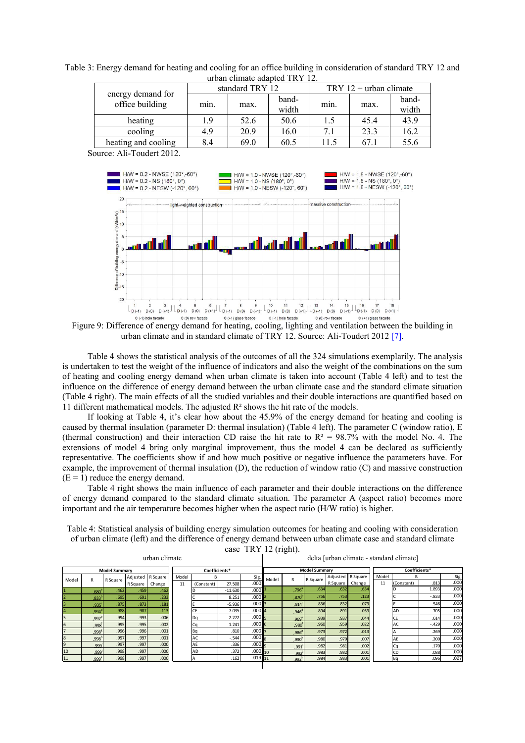| urban climate adapted $1KY/1Z$ . |      |                 |                |      |                          |                |  |  |  |
|----------------------------------|------|-----------------|----------------|------|--------------------------|----------------|--|--|--|
| energy demand for                |      | standard TRY 12 |                |      | TRY $12 +$ urban climate |                |  |  |  |
| office building                  | min. | max.            | band-<br>width | min. | max.                     | band-<br>width |  |  |  |
| heating                          | 1.9  | 52.6            | 50.6           | 1.5  | 45.4                     | 43.9           |  |  |  |
| cooling                          | 4.9  | 20.9            | 16.0           | 7.1  | 23.3                     | 16.2           |  |  |  |
| heating and cooling              | 8.4  | 69.0            | 60.5           | 11.5 | 67.1                     | 55.6           |  |  |  |

Table 3: Energy demand for heating and cooling for an office building in consideration of standard TRY 12 and urban climate adapted TRY 12.

Source: Ali-Toudert 2012.



Figure 9: Difference of energy demand for heating, cooling, lighting and ventilation between the building in urban climate and in standard climate of TRY 12. Source: Ali-Toudert 2012 [7].

Table 4 shows the statistical analysis of the outcomes of all the 324 simulations exemplarily. The analysis is undertaken to test the weight of the influence of indicators and also the weight of the combinations on the sum of heating and cooling energy demand when urban climate is taken into account (Table 4 left) and to test the influence on the difference of energy demand between the urban climate case and the standard climate situation (Table 4 right). The main effects of all the studied variables and their double interactions are quantified based on 11 different mathematical models. The adjusted R² shows the hit rate of the models.

If looking at Table 4, it's clear how about the 45.9% of the energy demand for heating and cooling is caused by thermal insulation (parameter D: thermal insulation) (Table 4 left). The parameter C (window ratio), E (thermal construction) and their interaction CD raise the hit rate to  $R^2 = 98.7\%$  with the model No. 4. The extensions of model 4 bring only marginal improvement, thus the model 4 can be declared as sufficiently representative. The coefficients show if and how much positive or negative influence the parameters have. For example, the improvement of thermal insulation (D), the reduction of window ratio (C) and massive construction  $(E = 1)$  reduce the energy demand.

Table 4 right shows the main influence of each parameter and their double interactions on the difference of energy demand compared to the standard climate situation. The parameter A (aspect ratio) becomes more important and the air temperature becomes higher when the aspect ratio (H/W ratio) is higher.

Table 4: Statistical analysis of building energy simulation outcomes for heating and cooling with consideration of urban climate (left) and the difference of energy demand between urban climate case and standard climate

urban climate

case TRY 12 (right).

|  | delta [urban climate - standard climate] |  |
|--|------------------------------------------|--|
|  |                                          |  |

|                |                   | <b>Model Summary</b> | Coefficients*     |        |       |              | <b>Model Summary</b> |                   |          |                   |          | Coefficients* |          |       |            |         |      |
|----------------|-------------------|----------------------|-------------------|--------|-------|--------------|----------------------|-------------------|----------|-------------------|----------|---------------|----------|-------|------------|---------|------|
| Model          |                   |                      | Adjusted R Square |        | Model | <sub>B</sub> |                      | Sig.              | Model    | R                 | R Square | Adjusted      | R Square | Model | B          |         | Sig. |
|                |                   | R Square             | R Square          | Change | 11    | (Constant)   | 27.508               | .000 <sub>1</sub> |          |                   |          | R Square      | Change   | 11    | (Constant) | .813    | .00C |
| $\mathbf{1}$   | .680°             | .462                 | .459              | .462   |       |              | $-11.630$            | .000              |          | .796°             | .634     | .632          | .634     |       |            | 1.893   | .000 |
| $\overline{2}$ | .833°             | .695                 | .691              | .233   |       |              | 8.251                | .00012            |          | .870'             | .756     | .753          | .123     |       |            | $-.833$ | .000 |
| 3              | $.935^{\circ}$    | .875                 | .873              | .181   |       |              | $-5.936$             | .000 <sub>l</sub> |          | ,914              | .836     | .832          | .079     |       |            | .546    | .00C |
| l4             | .994'             | .988                 | .987              | .113   |       |              | $-7.035$             | .00014            |          | $,946^\circ$      | .894     | .891          | .059     |       | AD         | .705    | .00C |
| 5              | $.997^e$          | .994                 | .993              | .006   |       |              | 2.272                | .000              |          | .969 <sup>e</sup> | .939     | .937          | .044     |       | ◡⊏         | .614    | .00C |
| 6              | 998               | .995                 | .995              | .002   |       | cα           | 1.241                | .0006             |          | ,980              | .960     | .9591         | .022     |       | AC         | $-.429$ | .000 |
| $\overline{7}$ | $.998^{\text{8}}$ | .996                 | .996              | .001   |       | Ba           | .810                 | .000              |          | $,986^8$          | .973     | .972          | .013     |       |            | .269    | .000 |
| 8              | .998              | .997                 | .997              | .001   |       |              | $-.544$              | .000 <sub>8</sub> |          | .990              | .980     | .979          | .007     |       | AF         | .200    | .000 |
| 19             | .999'             | .997                 | .997              | .000   |       |              | .336                 | .000              | $\Omega$ | .991              | .982     | .981          | .002     |       |            | .170    | .00C |
| 10             | .999              | .998                 | .997              | .000   |       | AD           | .372                 | .000              | 10       | 992               | .983     | .982          | .001     |       | CD         | .088    | .00C |
| 11             | 999               | .998                 | .997              | .000   |       |              | .162                 | .019              | 11       | .992              | .984     | .983          | .001     |       | Ba         | .096    | .027 |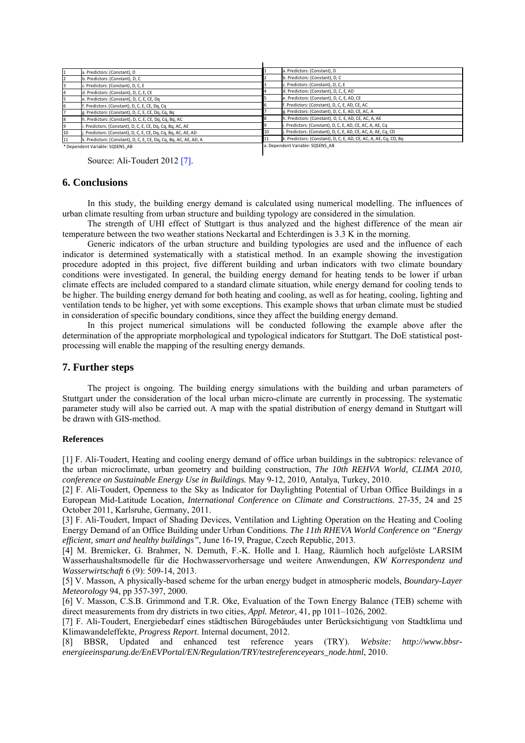|    | . Predictors: (Constant), D                                       |    | a. Predictors: (Constant), D                                      |
|----|-------------------------------------------------------------------|----|-------------------------------------------------------------------|
|    | b. Predictors: (Constant), D, C                                   |    | b. Predictors: (Constant), D, C                                   |
|    | c. Predictors: (Constant), D, C, E                                |    | c. Predictors: (Constant), D, C, E                                |
|    | d. Predictors: (Constant), D, C, E, CE                            |    | d. Predictors: (Constant), D, C, E, AD                            |
|    | e. Predictors: (Constant), D, C, E, CE, Dq                        |    | e. Predictors: (Constant), D, C, E, AD, CE                        |
|    | . Predictors: (Constant), D, C, E, CE, Dq, Cq                     |    | f. Predictors: (Constant), D, C, E, AD, CE, AC                    |
|    | g. Predictors: (Constant), D, C, E, CE, Dq, Cq, Bq                |    | g. Predictors: (Constant), D, C, E, AD, CE, AC, A                 |
|    | h. Predictors: (Constant), D, C, E, CE, Dq, Cq, Bq, AC            |    | h. Predictors: (Constant), D, C, E, AD, CE, AC, A, AE             |
|    | Predictors: (Constant), D, C, E, CE, Dg, Cg, Bg, AC, AE           |    | i. Predictors: (Constant), D, C, E, AD, CE, AC, A, AE, Cq         |
| 10 | Predictors: (Constant), D, C, E, CE, Dq, Cq, Bq, AC, AE, AD       | 10 | j. Predictors: (Constant), D, C, E, AD, CE, AC, A, AE, Cq, CD     |
| 11 | k. Predictors: (Constant), D, C, E, CE, Dq, Cq, Bq, AC, AE, AD, A |    | k. Predictors: (Constant), D, C, E, AD, CE, AC, A, AE, Cq, CD, Bq |
|    |                                                                   |    |                                                                   |

\* Dependent Variable: SQSENS\_AB

. Dependent Variable: SQSENS\_AI

Source: Ali-Toudert 2012 [7].

### **6. Conclusions**

In this study, the building energy demand is calculated using numerical modelling. The influences of urban climate resulting from urban structure and building typology are considered in the simulation.

The strength of UHI effect of Stuttgart is thus analyzed and the highest difference of the mean air temperature between the two weather stations Neckartal and Echterdingen is 3.3 K in the morning.

Generic indicators of the urban structure and building typologies are used and the influence of each indicator is determined systematically with a statistical method. In an example showing the investigation procedure adopted in this project, five different building and urban indicators with two climate boundary conditions were investigated. In general, the building energy demand for heating tends to be lower if urban climate effects are included compared to a standard climate situation, while energy demand for cooling tends to be higher. The building energy demand for both heating and cooling, as well as for heating, cooling, lighting and ventilation tends to be higher, yet with some exceptions. This example shows that urban climate must be studied in consideration of specific boundary conditions, since they affect the building energy demand.

In this project numerical simulations will be conducted following the example above after the determination of the appropriate morphological and typological indicators for Stuttgart. The DoE statistical postprocessing will enable the mapping of the resulting energy demands.

## **7. Further steps**

The project is ongoing. The building energy simulations with the building and urban parameters of Stuttgart under the consideration of the local urban micro-climate are currently in processing. The systematic parameter study will also be carried out. A map with the spatial distribution of energy demand in Stuttgart will be drawn with GIS-method.

#### **References**

[1] F. Ali-Toudert, Heating and cooling energy demand of office urban buildings in the subtropics: relevance of the urban microclimate, urban geometry and building construction, *The 10th REHVA World, CLIMA 2010, conference on Sustainable Energy Use in Buildings.* May 9-12, 2010, Antalya, Turkey, 2010.

[2] F. Ali-Toudert, Openness to the Sky as Indicator for Daylighting Potential of Urban Office Buildings in a European Mid-Latitude Location, *International Conference on Climate and Constructions.* 27-35, 24 and 25 October 2011, Karlsruhe, Germany, 2011.

[3] F. Ali-Toudert, Impact of Shading Devices, Ventilation and Lighting Operation on the Heating and Cooling Energy Demand of an Office Building under Urban Conditions. *The 11th RHEVA World Conference on "Energy efficient, smart and healthy buildings"*, June 16-19, Prague, Czech Republic, 2013.

[4] M. Bremicker, G. Brahmer, N. Demuth, F.-K. Holle and I. Haag, Räumlich hoch aufgelöste LARSIM Wasserhaushaltsmodelle für die Hochwasservorhersage und weitere Anwendungen, *KW Korrespondenz und Wasserwirtschaft* 6 (9): 509-14, 2013.

[5] V. Masson, A physically-based scheme for the urban energy budget in atmospheric models, *Boundary-Layer Meteorology* 94, pp 357-397, 2000.

[6] V. Masson, C.S.B. Grimmond and T.R. Oke, Evaluation of the Town Energy Balance (TEB) scheme with direct measurements from dry districts in two cities, *Appl. Meteor*, 41, pp 1011–1026, 2002.

[7] F. Ali-Toudert, Energiebedarf eines städtischen Bürogebäudes unter Berücksichtigung von Stadtklima und Klimawandeleffekte, *Progress Report*. Internal document, 2012.

[8] BBSR, Updated and enhanced test reference years (TRY). *Website: http://www.bbsrenergieeinsparung.de/EnEVPortal/EN/Regulation/TRY/testreferenceyears\_node.html*, 2010.